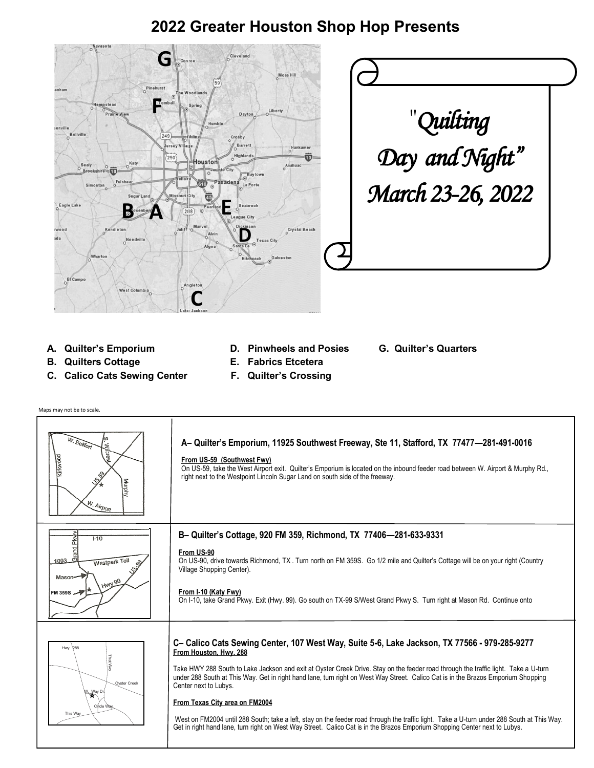## **2022 Greater Houston Shop Hop Presents**





- 
- **B. Quilters Cottage E. Fabrics Etcetera**
- **C. Calico Cats Sewing Center F. Quilter's Crossing**
- **A. Quilter's Emporium D. Pinwheels and Posies G. Quilter's Quarters**
	-
	-